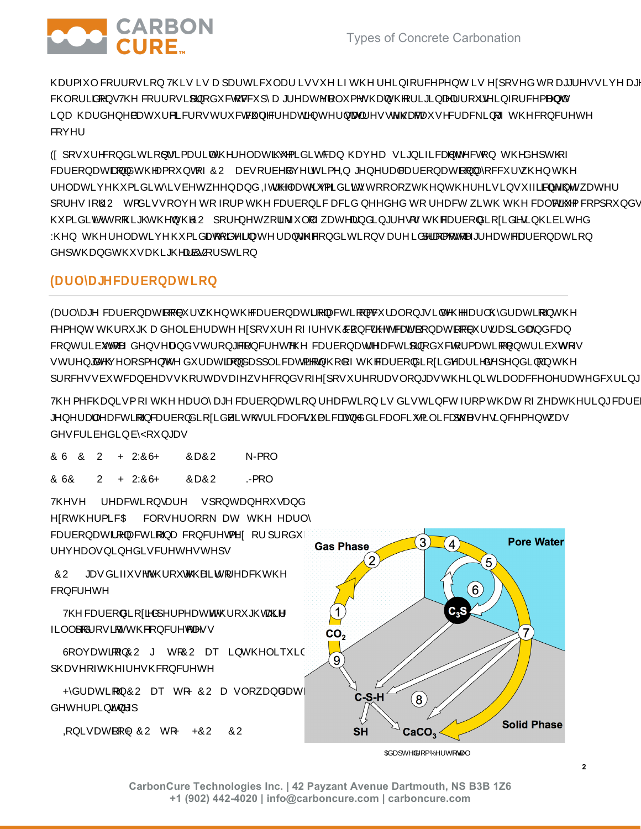

k.



CarbonCure Technologies Inc. | 42 Payzant Avenue Dartmouth, NS B3B 1Z6 +1 (902) 442-4020 | info@carboncure.com | carboncure.com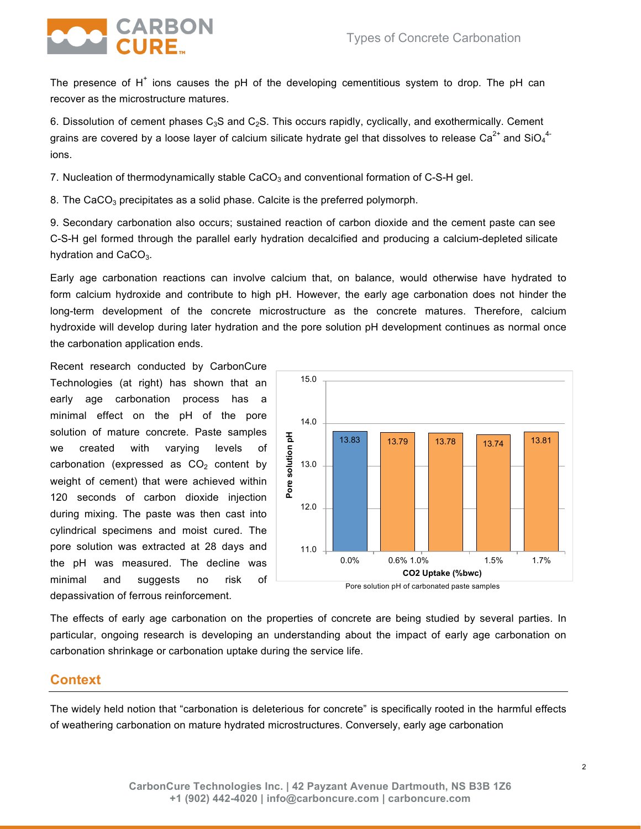

The presence of  $H^+$  ions causes the pH of the developing cementitious system to drop. The pH can recover as the microstructure matures.

6. Dissolution of cement phases  $C_3S$  and  $C_2S$ . This occurs rapidly, cyclically, and exothermically. Cement grains are covered by a loose layer of calcium silicate hydrate gel that dissolves to release Ca<sup>2+</sup> and SiO<sub>4</sub><sup>4-</sup> ions.

7. Nucleation of thermodynamically stable  $CaCO<sub>3</sub>$  and conventional formation of C-S-H gel.

8. The CaCO<sub>3</sub> precipitates as a solid phase. Calcite is the preferred polymorph.

9. Secondary carbonation also occurs; sustained reaction of carbon dioxide and the cement paste can see C-S-H gel formed through the parallel early hydration decalcified and producing a calcium-depleted silicate hydration and CaCO<sub>3</sub>.

Early age carbonation reactions can involve calcium that, on balance, would otherwise have hydrated to form calcium hydroxide and contribute to high pH. However, the early age carbonation does not hinder the long-term development of the concrete microstructure as the concrete matures. Therefore, calcium hydroxide will develop during later hydration and the pore solution pH development continues as normal once the carbonation application ends.

Recent research conducted by CarbonCure Technologies (at right) has shown that an early age carbonation process has a minimal effect on the pH of the pore solution of mature concrete. Paste samples we created with varying levels of carbonation (expressed as  $CO<sub>2</sub>$  content by weight of cement) that were achieved within 120 seconds of carbon dioxide injection during mixing. The paste was then cast into cylindrical specimens and moist cured. The pore solution was extracted at 28 days and the pH was measured. The decline was minimal and suggests no risk of depassivation of ferrous reinforcement.





The effects of early age carbonation on the properties of concrete are being studied by several parties. In particular, ongoing research is developing an understanding about the impact of early age carbonation on carbonation shrinkage or carbonation uptake during the service life.

## **Context**

The widely held notion that "carbonation is deleterious for concrete" is specifically rooted in the harmful effects of weathering carbonation on mature hydrated microstructures. Conversely, early age carbonation